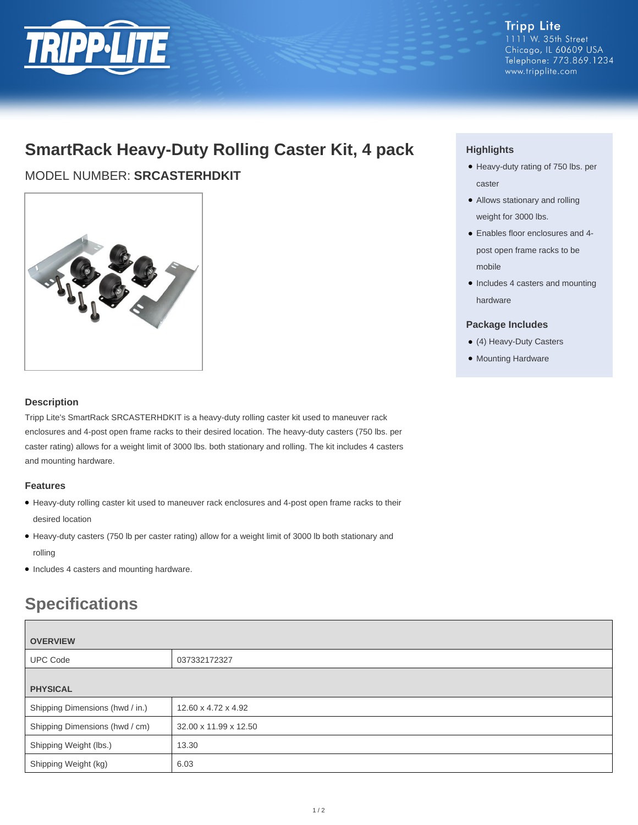

**Tripp Lite** 1111 W. 35th Street Chicago, IL 60609 USA Telephone: 773.869.1234 www.tripplite.com

# **SmartRack Heavy-Duty Rolling Caster Kit, 4 pack**

MODEL NUMBER: **SRCASTERHDKIT**



### **Description**

Tripp Lite's SmartRack SRCASTERHDKIT is a heavy-duty rolling caster kit used to maneuver rack enclosures and 4-post open frame racks to their desired location. The heavy-duty casters (750 lbs. per caster rating) allows for a weight limit of 3000 lbs. both stationary and rolling. The kit includes 4 casters and mounting hardware.

### **Features**

- Heavy-duty rolling caster kit used to maneuver rack enclosures and 4-post open frame racks to their desired location
- Heavy-duty casters (750 lb per caster rating) allow for a weight limit of 3000 lb both stationary and rolling
- Includes 4 casters and mounting hardware.

## **Specifications**

| <b>OVERVIEW</b>                 |                       |  |
|---------------------------------|-----------------------|--|
| <b>UPC Code</b>                 | 037332172327          |  |
| <b>PHYSICAL</b>                 |                       |  |
| Shipping Dimensions (hwd / in.) | 12.60 x 4.72 x 4.92   |  |
| Shipping Dimensions (hwd / cm)  | 32.00 x 11.99 x 12.50 |  |
| Shipping Weight (lbs.)          | 13.30                 |  |
| Shipping Weight (kg)            | 6.03                  |  |

## **Highlights**

- Heavy-duty rating of 750 lbs. per caster
- Allows stationary and rolling weight for 3000 lbs.
- Enables floor enclosures and 4- post open frame racks to be mobile
- Includes 4 casters and mounting hardware

#### **Package Includes**

- (4) Heavy-Duty Casters
- Mounting Hardware